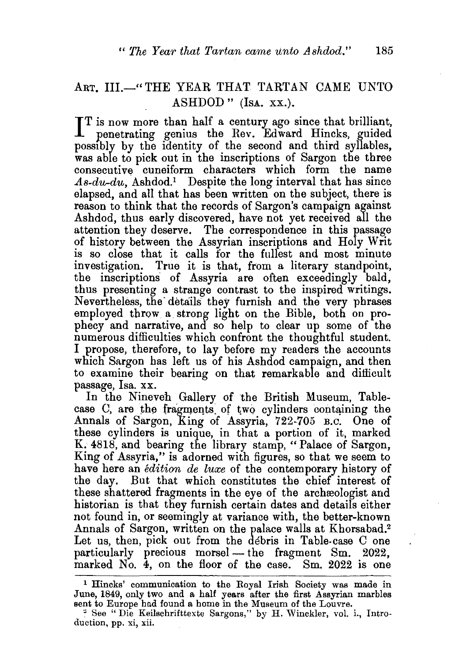## ART, III.-"THE YEAR THAT TARTAN CAME UNTO ASHDOD " (IsA. xx.).

IT is now more than half a century ago since that brilliant, penetrating genius the Rev. Edward Hincks, guided T is now more than half a century ago since that brilliant, possibly by the identity of the second and third syllables, was able to pick out in the inscriptions of Sargon the three consecutive cuneiform characters which form the name *.As-du-du,* Ashdod.1 Despite the long interval that has since elapsed, and all that has been written on the subject, there is reason to think that the records of Sargon's campaign against Ashdod, thus early discovered, have not yet received all the attention they deserve. The correspondence in this passage of history between the Assyrian inscriptions and Holy Writ is so close that it calls for the fullest and most minute investigation. True it is that, from a literary standpoint, the inscriptions of Assyria are often exceedingly bald, thus presenting a strange contrast to the inspired writings. Nevertheless, the· details they furnish and the very phrases employed throw a strong light on the Bible, both on prophecy and narrative, and so help to clear up some of the numerous difficulties which confront the thoughtful student. I propose, therefore, to lay before my readers the accounts which Sargon has left us of his Ashdod campaign, and then to examine their bearing on that remarkable and difficult passage, Isa. xx.

In the Nineveh Gallery of the British Museum, Tablecase C, are the fragments of two cylinders containing the Annals of Sargon, King of Assyria, 722-705 B.c. One of these cylinders is unique, in that a portion of it, marked K. 4818, and bearing the library stamp, "Palace of Sargon, King of Assyria," is adorned with figures, so that we seem to have here an *edition de luxe* of the contemporary history of the day. But that which constitutes the chief interest of these shattered fragments in the eye of the archreologist and historian is that they furnish certain dates and details either not found in, or seemingly at variance with, the better-known Annals of Sargon, written on the palace walls at Khorsabad.<sup>2</sup> Let us, then, pick out from the debris in Table-case C one particularly precious morsel - the fragment Sm. 2022, marked No. 4, on the floor of the case. Sm. 2022 is one

<sup>1</sup> Hincks' communication to the Royal Irish Society was made in June, 1849, only two and a half years after the first Assyrian marbles sent to Europe had found a home in the Museum of the Louvre.

<sup>&</sup>quot; See "Die Keilschrifttexte Sargons," by H. Winckler, vol. i., Introduction, pp. xi, xii.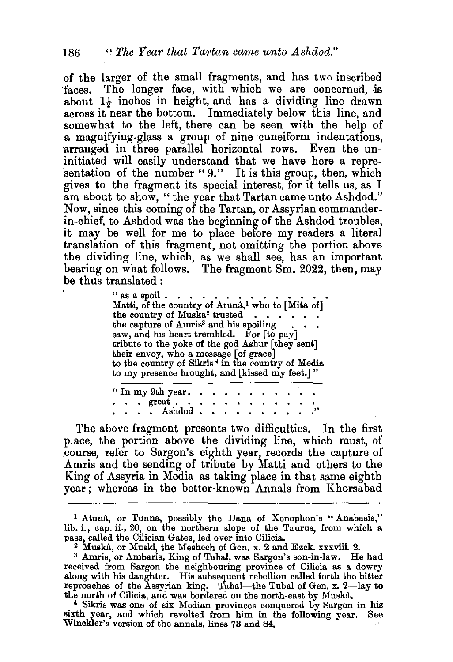of the larger of the small fragments, and has two inscribed faces. The longer face, with which we are concerned, is about  $1\frac{1}{2}$  inches in height, and has a dividing line drawn across it near the bottom. Immediately below this line, and somewhat to the left, there can be seen with the help of a magnifying-glass a group of nine cuneiform indentations, arranged in three parallel horizontal rows. Even the uninitiated will easily understand that we have here a representation of the number "9." It is this group, then, which gives to the fragment its special interest, for it tells us, as I am about to show, "the year that Tartan came unto Ashdod." Now, since this coming of the Tartan, or Assyrian commanderin-chief, to Ashdod was the beginning of the Ashdod troubles, it may be well for me to place before my readers a literal translation of this fragment, not omitting the portion above the dividing line, which, as we shall see, has an important bearing on what follows. The fragment Sm. 2022, then, may be thus translated :

> " as a spoil • • • • • • • • • . • • . • Matti, of the country of Atuna,l who to [Mita of] the country of Muska<sup>2</sup> trusted  $\cdots$  the capture of Amris<sup>3</sup> and his spoiling saw, and his heart trembled. For [to pay] tribute to the yoke of the god Ashur [they sent] their envoy, who a message [of grace J to the country of Sikris<sup>+</sup> in the country of Media to my presence brought, and [kissed my feet.]"

" In my 9th year.<br> $\therefore$  ereat... . . Ashdod .

The above fragment presents two difficulties. In the first place, the portion above the dividing line, which must, of course, refer to Sargon's eighth year, records the capture of Amris and the sending of tribute by Matti and others to the King of Assyria in Media as taking place in that same eighth year; whereas in the better-known Annals from Khorsabad

<sup>1</sup>Atuna, or Tunna, possibly the Dana of Xenophon's "Anabasis," lib. i., cap. ii., 20, on the northern slope of the Taurus, from which a

<sup>2</sup> Muskâ, or Muski, the Meshech of Gen. x. 2 and Ezek. xxxviii. 2.  $\frac{3 \text{ Amris}}{1 \text{ Amris}}$ , or Ambaris, King of Tabal, was Sargon's son-in-law. He had received from Sargon the neighbouring province of Cilicia as a dowry along with his daughter. His subsequent rebellion called forth the bitter reproaches of the Assyrian king. Tabal—the Tubal of Gen. x. 2—lay to the north of Cilicia, and was bordered on the north-east by Muskâ.

<sup>4</sup> Sikris was one of six Median provinces conquered by Sargon in his sixth year, and which revolted from him in the following year. See Winckler's version of the annals, lines 73 and 84.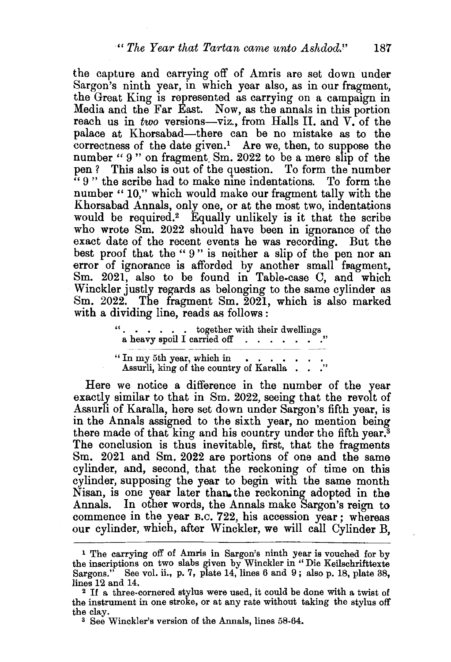the capture and carrying off of Amris are set down under Sargon's ninth year, in which year also, as in our fragment, the Great King is represented as carrying on a campaign in Media and the Far East. Now, as the annals in this portion reach us in *two* versions—viz., from Halls II. and V. of the palace at Khorsabad-there can be no mistake as to the  $correctness of the date given.<sup>1</sup>$  Are we, then, to suppose the number " 9" on fragment Sm. 2022 to be a mere slip of the pen ? This also is out of the question. To form the number " 9" the scribe had to make nine indentations. To form the number "10," which would make our fragment tally with the Khorsabad Annals, only one, or at the most two, indentations would be required.2 Equally unlikely is it that the scribe who wrote Sm. 2022 should have been in ignorance of the exact date of the recent events he was recording. But the best proof that the "9" is neither a slip of the pen nor an error of ignorance is afforded by another small fragment, Sm. 2021, also to be found in Table-case C, and which Winckler justly regards as belonging to the same cylinder as Sm. 2022. The fragment Sm. 2021, which is also marked with a dividing line, reads as follows :

> . . . . . . together with their dwellings a heavy spoil I carried off . . . . . . . . " In my 5th year, which in

Assurli, king of the country of Karalla . . . "

Here we notice a difference in the number of the year exactly similar to that in Sm. 2022, seeing that the revolt of Assurli of Karalla, here set down under Sargon's fifth year, is in the Annals assigned to the sixth year, no mention being there made of that king and his country under the fifth year.<sup>3</sup> The conclusion is thus inevitable, first, that the fragments Sm. 2021 and Sm. 2022 are portions of one and the same cylinder, and, second, that the reckoning of time on this cylinder, supposing the year to begin with the same month Nisan, is one year later than the reckoning adopted in the Annals. In other words, the Annals make Sargon's reign to commence in the year B.c. 722, his accession year ; whereas our cylinder, which, after Winckler, we will call Cylinder B,

<sup>1</sup>The carrying off of Amris in Sargon's ninth year is vouched for by the inscriptions on two slabs given by Winckler in "Die Keilschrifttexte Sargons." See vol. ii., p. 7, plate 14, lines 6 and 9; also p. 18, plate 38,

lines 12 and 14.  $\frac{2}{1}$  If a three-cornered stylus were used, it could be done with a twist of the instrument in one stroke, or at any rate without taking the stylus off the clay.

<sup>3</sup> See Winckler's version of the Annals, lines 58-64.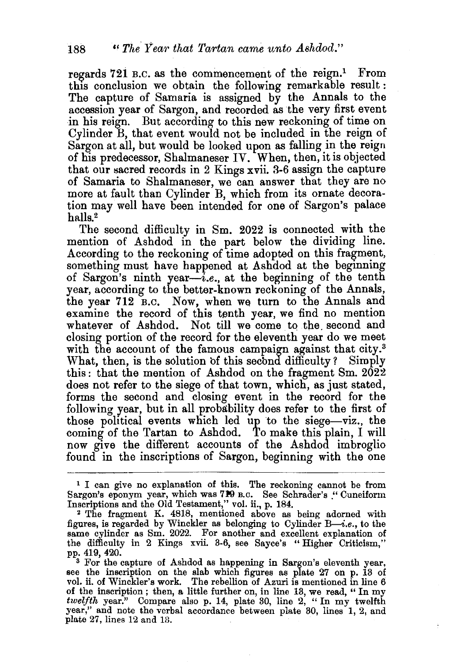regards 721 B.C. as the commencement of the reign.<sup>1</sup> From this conclusion we obtain the following remarkable result : The capture of Samaria is assigned by the Annals to the accession year of Sargon, and recorded as the very first event in his reign. But according to this new reckoning of time on Cylinder B, that event would not be included in the reign of Sargon at all, but would be looked upon as falling in the reign of his predecessor, Shalmaneser IV. When, then, it is objected that our sacred records in 2 Kings  $xvii$ . 3-6 assign the capture of Samaria to Shalmaneser, we can answer that they are no more at fault than Cylinder B, which from its ornate decoration may well have been intended for one of Sargon's palace halls.2

The second difficulty in Sm. 2022 is connected with the mention of Ashdod in the part below the dividing line. According to the reckoning of time adopted on this fragment, something must have happened at Ashdod at the beginning of Sargon's ninth year-i.e., at the beginning of the tenth year, according to the better-known reckoning of the Annals, the year 712 B.c. Now, when we turn to the Annals and examine the record of this tenth year, we find no mention whatever of Ashdod. Not till we come to the. second and closing portion of the record for the eleventh year do we meet with the account of the famous campaign against that city.<sup>3</sup> What, then, is the solution of this second difficulty? Simply this: that the mention of Ashdod on the fragment Sm. 2022 does not refer to the siege of that town, which, as just stated, forms the second and closing event in the record for the following year, but in all probability does refer to the first of those political events which led up to the siege-viz., the coming of the Tartan to Ashdod. To make this plain, I will now give the different accounts of the Ashdod imbroglio found in the inscriptions of Sargon, beginning with the one

<sup>1</sup> I can give no explanation of this. The reckoning cannot be from Sargon's eponym year, which was 719 B.c. See Schrader's ." Cuneiform Inscriptions and the Old Testament," vol. ii., p. 184. 2 The fragment K. 4818, mentioned above as being adorned with

<sup>&</sup>lt;sup>2</sup> The fragment K. 4818, mentioned above as being adorned with figures, is regarded by Winckler as belonging to Cylinder *B*—*i.e.*, to the same cylinder as Sm. 2022. For another and excellent explanation of the difficulty in 2 Kings xvii. 3-6, see Sayce's "Higher Criticism," pp. 419, 420.

 $\overline{\phantom{a}}$  3 For the capture of Ashdod as happening in Sargon's eleventh year, see the inscription on the slab which figures as plate 27 on p. 13 of vol. ii. of Winckler's work. The rebellion of Azuri is mentioned in line 6 of the inscription ; then, a little further on, in line 13, we read, " In my *twelfth* year." Compare also p. 14, plate 30, line 2, " In my twelfth year," and note the verbal accordance between plate 30, lines 1, 2, and plate 27, lines 12 and 13.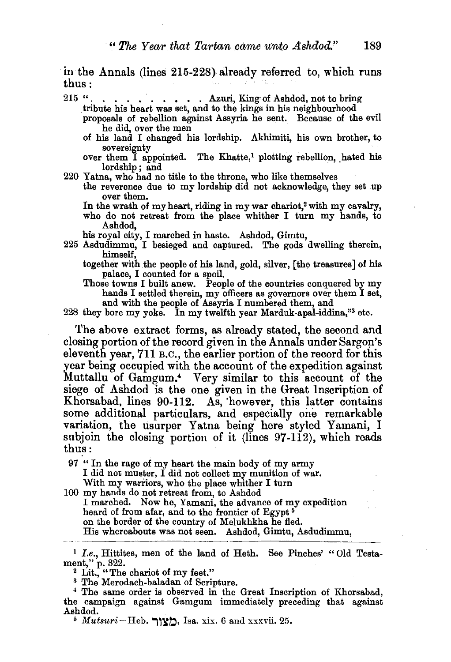in the Annals (lines 215-228) already referred to, which runs thus :  $\mathbf{u} = \mathbf{u} \times \mathbf{v}$  . The set of  $\mathbf{u} \times \mathbf{v}$ 

215 ". . . . . . . . . Azuri, King of Ashdod, not to bring tribute his heart was set, and to the kings in his neighbourhood proposals of rebellion against Assyria he sent. Because of the evil

- he did, over the men of his land I changed his lordship. Akhimiti, his own brother, to
- sovereignty<br>over them I appointed. The Khatte,<sup>1</sup> plotting rebellion, hated his lordship ; and
- 220 Yatna, who had no title to the throne, who like themselves
	- the reverence due to my lordship did not acknowledge, they set up over them.
		- In the wrath of my heart, riding in my war chariot,<sup>2</sup> with my cavalry, who do not retreat from the place whither I turn my hands, to Ashdod,

his royal city, I marched in haste. Ashdod, Gimtu,

- 225 Asdudimmu, I besieged and captured. The gods dwelling therein, himself,
	- together with the people of his land, gold, silver, [the treasures] of his palace, I counted for a spoil.
	- Those towns I built anew. People of the countries conquered by my hands I settled therein, my officers as governors over them I set, and with the people of Assyria I numbered them, and

228 they bore my yoke. In my twelfth year Marduk-apal-iddina,"3 etc.

The above extract forms, as already stated, the second and closing portion of the record given in the Annals under Sargop.'s eleventh year, 711 B.c., the earlier portion of the record for this year being occupied with the account of the expedition against Muttallu of Gamgum.4 Very similar to this account of the siege of Ashdod is the one given in the Great Inscription of Khorsabad, lines 90-112. As, 'however, this latter contains some additional particulars, and especially one remarkable variation, the usurper Yatna being here styled Yamani, I subjoin the closing portion of it (lines  $97-112$ ), which reads thus:

97 " In the rage of my heart the main body of my army I did not muster, I did not collect my munition of war. With my wariiors, who the place whither I turn

100 my hands do not retreat from, to Ashdod I marched. Now he, Yamani, the advance of my expedition

heard of from afar, and to the frontier of Egypt<sup>5</sup> on the border of the country of Melukhkha he fled.

His whereabouts was not seen. Ashdod, Gimtu, Asdudimmu,

<sup>&</sup>lt;sup>1</sup> *I.e.*, Hittites, men of the land of Heth. See Pinches' "Old Testament," p. 322.<br> $\frac{1}{2}$  Lit., "The chariot of my feet."

<sup>&</sup>lt;sup>3</sup> The Merodach-baladan of Scripture.<br><sup>4</sup> The same order is observed in the Great Inscription of Khorsabad, the campaign against Gamgum immediately preceding that against Ashdod.

 $\delta$  *Mutsuri*=Heb. מַצור $\Delta$ , Isa. xix. 6 and xxxvii. 25.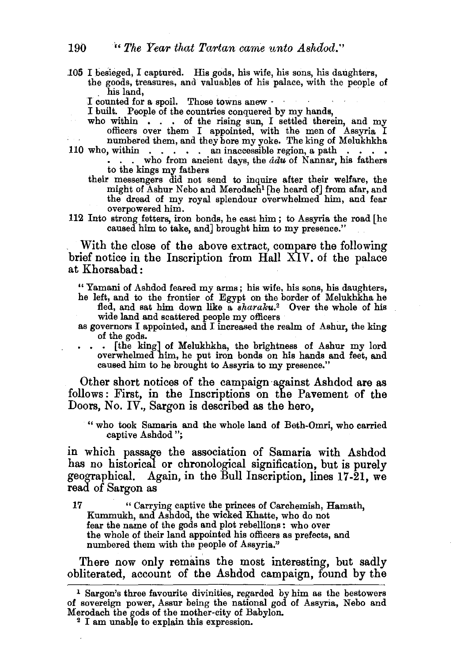.105 I besieged, I captured. His gods, his wife, his sons, his daughters, the goods, treasures, and valuables of his palace, with the people of his land,<br>I counted for a spoil. Those towns anew

I built. People of the countries conquered by my hands,

- who within  $\cdot$  .  $\cdot$  of the rising sun, I settled therein, and my officers over them I appointed, with the men of Assyria I numbered them, and they bore my yoke. The king of Melukhkha<br>110 who, within  $\cdots$  an inaccessible region, a path  $\cdots$ 
	- . who from ancient days, the  $\hat{a}d\hat{u}$  of Nannar, his fathers to the kings my fathers
		- their messengers did not send to inquire after their welfare, the might of Ashur Nebo and Merodachl [he heard of] from afar, and the dread of my royal splendour overwhelmed him, and fear overpowered him.
- 112 Into strong fetters, iron bonds, he cast him; to Assyria the road [he caused him to take, and] brought him to my presence."

With the close of the above extract, compare the following brief notice in the Inscription from Hall XIV. of the palace at Khorsabad :

" Yamani of Ashdod feared my arms; his wife, his sons, his daughters, he left, and to the frontier of Egypt on the border of Melukhkha he fled, and sat him down like a *sharaku.*<sup>2</sup> Over the whole of his wide land and scattered people my officers

as governors I appointed, and I increased the realm of Ashur, the king of the gods.

[the king] of Melukhkha, the brightness of Ashur my lord overwhelmed him, he put iron bonds on his hands and feet, and caused him to be brought to Assyria to my presence."

Other short notices of the campaign ·against Ashdod are as follows: First, in the Inscriptions on the Pavement of the Doors, No. IV., Sargon is described as the hero.

" who took Samaria and the whole land of Beth-Omri, who carried captive Ashdod ";

in which passage the association of Samaria with Ashdod has no historical or chronological signification, but is purely geographical. Again, in the Bull Inscription, lines 17-21, we read of Sargon as

17 " Carrying captive the princes of Carchemish, Hamath, Kummukh, and Ashdod, the wicked Khatte, who do not the whole of their land appointed his officers as prefects, and numbered them with the people of Assyria."

There now only remains the most interesting, but sadly obliterated, account of the Ashdod campaign, found by the

<sup>1</sup>Sargon's three favourite divinities, regarded by him as the bestowers of sovereign power, Assur being the national god of Assyria, Nebo and Merodach the gods of the mother-city of Babylon.<br><sup>2</sup> I am unable to explain this expression.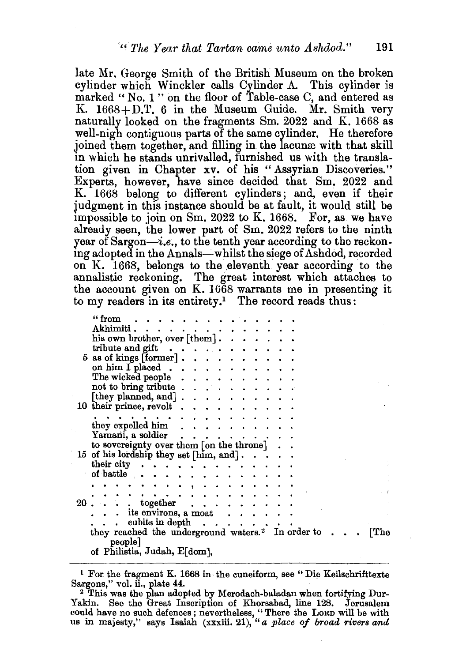late Mr. George Smith of the British Museum on the broken cylinder which Winckler calls Cylinder A. This cylinder is marked "No. 1" on the floor of Table-case C, and entered as K.  $1668 + D.T.$  6 in the Museum Guide. Mr. Smith very naturally looked on the fragments Sm. 2022 and K. 1668 as well-nigh contiguous parts of the same cylinder. He therefore joined them together, and filling in the lacunce with that skill in which he stands unrivalled, furnished us with the translation given in Chapter xv. of his "Assyrian Discoveries." Experts, however, bave since decided that Sm. 2022 and K. 1668 belong to different cylinders; and, even if their judgment in this instance should be at fault, it would still be impossible to join on Sm. 2022 to K. 1668. For, as we have already seen, the lower part of Sm. 2022 refers to the ninth year of Sargon-i.e., to the tenth year according to the reckoning adopted in the Annals-whilst the siege of Ashdod, recorded on K. 1668, belongs to the eleventh year according to the annalistic reckoning. The great interest which attaches to the account given on K. 1668 warrants me in presenting it to my readers in its entirety.<sup>1</sup> The record reads thus:

| " from                                                                 |
|------------------------------------------------------------------------|
| Akhimiti<br>$\cdot$ $\cdot$ $\cdot$ $\cdot$ $\cdot$ $\cdot$            |
| his own brother, over [them].                                          |
| tribute and gift $\ldots$ , $\ldots$ , $\ldots$                        |
| $5$ as of kings [former]                                               |
| on him $I$ placed $\ldots$                                             |
| The wicked people                                                      |
|                                                                        |
| not to bring tribute $\ldots$ , $\ldots$ , $\ldots$                    |
| [they planned, and] $\ldots$ .                                         |
| 10 their prince, revolt $\ldots$ ,                                     |
|                                                                        |
| they expelled him.                                                     |
| Yamani, a soldier                                                      |
| to sovereignty over them $[$ on the throne $] \cdot \cdot$             |
| 15 of his lordship they set [him, and].                                |
| their city.                                                            |
| of battle $\cdots$                                                     |
|                                                                        |
|                                                                        |
| $20$ . $\ldots$ together $\ldots$                                      |
| . . its environs, a moat                                               |
|                                                                        |
| cubits in depth $\ldots$ .                                             |
| they reached the underground waters. <sup>2</sup> In order to.<br>[The |
| people]                                                                |
| of Philistia, Judah, E[dom],                                           |

<sup>&</sup>lt;sup>1</sup> For the fragment K. 1668 in the cuneiform, see " Die Keilschrifttexte Sargons," vol. ii., plate 44.

<sup>&</sup>lt;sup>2</sup> This was the plan adopted by Merodach-baladan when fortifying Dur-Yakin. See the Great Inscription of Khorsabad, line 128. Jerusalem could have no such defences; nevertheless, " There the LoRD will be with us in majesty," says Isaiah (xxxiii. 21), *"a place of broad rivers and*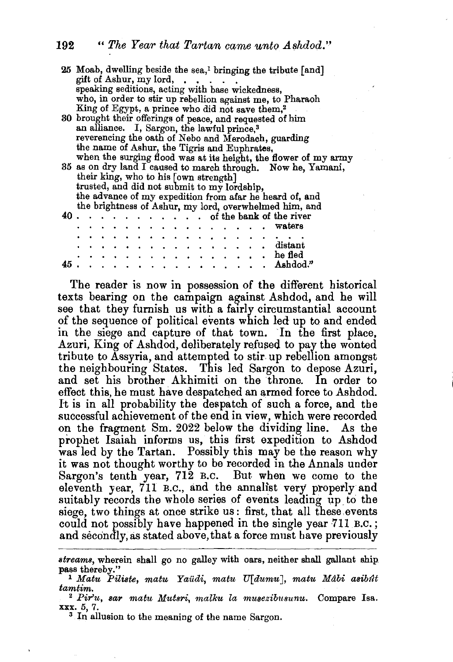|    | 25 Moab, dwelling beside the sea, <sup>1</sup> bringing the tribute [and]<br>gift of Ashur, my lord,                     |  |  |  |  |  |  |  |  |  |  |                             |  |  |                                               |  |                                                                                                                                                                                                                                |
|----|--------------------------------------------------------------------------------------------------------------------------|--|--|--|--|--|--|--|--|--|--|-----------------------------|--|--|-----------------------------------------------|--|--------------------------------------------------------------------------------------------------------------------------------------------------------------------------------------------------------------------------------|
|    | speaking seditions, acting with base wickedness,                                                                         |  |  |  |  |  |  |  |  |  |  |                             |  |  |                                               |  |                                                                                                                                                                                                                                |
|    |                                                                                                                          |  |  |  |  |  |  |  |  |  |  |                             |  |  |                                               |  |                                                                                                                                                                                                                                |
|    | who, in order to stir up rebellion against me, to Pharaoh<br>King of Egypt, a prince who did not save them, <sup>2</sup> |  |  |  |  |  |  |  |  |  |  |                             |  |  |                                               |  |                                                                                                                                                                                                                                |
|    | 30 brought their offerings of peace, and requested of him                                                                |  |  |  |  |  |  |  |  |  |  |                             |  |  |                                               |  |                                                                                                                                                                                                                                |
|    |                                                                                                                          |  |  |  |  |  |  |  |  |  |  |                             |  |  |                                               |  |                                                                                                                                                                                                                                |
|    | an alliance. I, Sargon, the lawful prince, <sup>3</sup>                                                                  |  |  |  |  |  |  |  |  |  |  |                             |  |  |                                               |  |                                                                                                                                                                                                                                |
|    | reverencing the oath of Nebo and Merodach, guarding                                                                      |  |  |  |  |  |  |  |  |  |  |                             |  |  |                                               |  |                                                                                                                                                                                                                                |
|    | the name of Ashur, the Tigris and Euphrates,                                                                             |  |  |  |  |  |  |  |  |  |  |                             |  |  |                                               |  |                                                                                                                                                                                                                                |
|    | when the surging flood was at its height, the flower of my army                                                          |  |  |  |  |  |  |  |  |  |  |                             |  |  |                                               |  |                                                                                                                                                                                                                                |
|    |                                                                                                                          |  |  |  |  |  |  |  |  |  |  |                             |  |  |                                               |  | 35 as on dry land I caused to march through. Now he, Yamani,                                                                                                                                                                   |
|    |                                                                                                                          |  |  |  |  |  |  |  |  |  |  |                             |  |  |                                               |  |                                                                                                                                                                                                                                |
|    | their king, who to his [own strength]<br>trusted, and did not submit to my lordship,                                     |  |  |  |  |  |  |  |  |  |  |                             |  |  |                                               |  |                                                                                                                                                                                                                                |
|    |                                                                                                                          |  |  |  |  |  |  |  |  |  |  |                             |  |  |                                               |  | the advance of my expedition from a far he heard of, and                                                                                                                                                                       |
|    |                                                                                                                          |  |  |  |  |  |  |  |  |  |  |                             |  |  |                                               |  |                                                                                                                                                                                                                                |
|    |                                                                                                                          |  |  |  |  |  |  |  |  |  |  |                             |  |  |                                               |  | the brightness of Ashur, my lord, overwhelmed him, and                                                                                                                                                                         |
|    |                                                                                                                          |  |  |  |  |  |  |  |  |  |  |                             |  |  |                                               |  |                                                                                                                                                                                                                                |
|    |                                                                                                                          |  |  |  |  |  |  |  |  |  |  |                             |  |  |                                               |  | . waters                                                                                                                                                                                                                       |
|    |                                                                                                                          |  |  |  |  |  |  |  |  |  |  |                             |  |  | kontra de la carte de la carte de la carte de |  |                                                                                                                                                                                                                                |
|    |                                                                                                                          |  |  |  |  |  |  |  |  |  |  |                             |  |  |                                               |  | $\cdots$ distant                                                                                                                                                                                                               |
|    |                                                                                                                          |  |  |  |  |  |  |  |  |  |  |                             |  |  |                                               |  | heled in the second contract of the field of the field of the field of the second contract of the second contract of the second contract of the second contract of the second contract of the second contract of the second co |
| 45 |                                                                                                                          |  |  |  |  |  |  |  |  |  |  | $\sim$ $\sim$ $\sim$ $\sim$ |  |  |                                               |  | ". Ashdod.                                                                                                                                                                                                                     |
|    |                                                                                                                          |  |  |  |  |  |  |  |  |  |  |                             |  |  |                                               |  |                                                                                                                                                                                                                                |

The reader is now in possession of the different historical texts bearing on the campaign against Ashdod, and he will see that they furnish us with a fairly circumstantial account of the sequence of political events which led up to and ended in the siege and capture of that town. In the first place, Azuri, King of Ashdod, deliberately refused to pay the wonted tribute to Assyria, and attempted to stir up rebellion amongst the neighbouring States. This led Sargon to depose Azuri, and set his brother Akhimiti on the throne. In order to effect this, he must have despatched an armed force to Ashdod. It is in all probability the despatch of such a force, and the successful achievement of the end in view, which were recorded on the fragment Sm. 2022 below the dividing line. As the prophet Isaiah informs us, this first expedition to Ashdod was led by the Tartan. Possibly this may be the reason why it was not thought worthy to be recorded in the Annals under Sargon's tenth year, 712 B.C. But when we come to the eleventh year, 711 B.c., and the annalist very propetly and suitably records the whole series of events leading up to the siege, two things at once strike us: first, that all these.events could not possibly have happened in the single year 711 B.C.; and secondly, as stated above, that a force must have previously

*streams,* wherein shall go no galley with oars, neither shall gallant ship

<sup>&</sup>lt;sup>1</sup> Matu Piliste, matu Yaüdi, matu U[dumu], matu Mâbi asibût<br>tamtim.

<sup>&</sup>lt;sup>2</sup> *Pir'u, sar matu Mutsri, malku la musezibusunu.* Compare Isa. xxx. 5, 7. 3 In allusion to the meaning of the name Sargon.